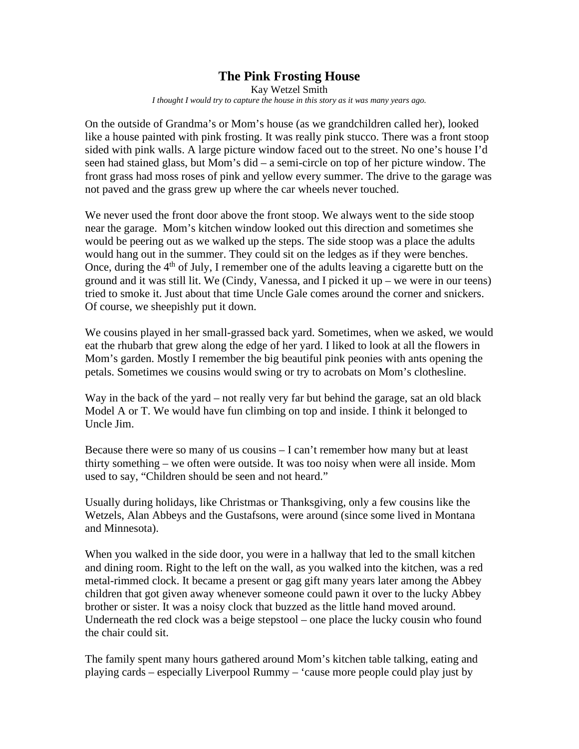## **The Pink Frosting House**

Kay Wetzel Smith *I thought I would try to capture the house in this story as it was many years ago.*

On the outside of Grandma's or Mom's house (as we grandchildren called her), looked like a house painted with pink frosting. It was really pink stucco. There was a front stoop sided with pink walls. A large picture window faced out to the street. No one's house I'd seen had stained glass, but Mom's did – a semi-circle on top of her picture window. The front grass had moss roses of pink and yellow every summer. The drive to the garage was not paved and the grass grew up where the car wheels never touched.

We never used the front door above the front stoop. We always went to the side stoop near the garage. Mom's kitchen window looked out this direction and sometimes she would be peering out as we walked up the steps. The side stoop was a place the adults would hang out in the summer. They could sit on the ledges as if they were benches. Once, during the  $4<sup>th</sup>$  of July, I remember one of the adults leaving a cigarette butt on the ground and it was still lit. We (Cindy, Vanessa, and I picked it up – we were in our teens) tried to smoke it. Just about that time Uncle Gale comes around the corner and snickers. Of course, we sheepishly put it down.

We cousins played in her small-grassed back yard. Sometimes, when we asked, we would eat the rhubarb that grew along the edge of her yard. I liked to look at all the flowers in Mom's garden. Mostly I remember the big beautiful pink peonies with ants opening the petals. Sometimes we cousins would swing or try to acrobats on Mom's clothesline.

Way in the back of the yard – not really very far but behind the garage, sat an old black Model A or T. We would have fun climbing on top and inside. I think it belonged to Uncle Jim.

Because there were so many of us cousins – I can't remember how many but at least thirty something – we often were outside. It was too noisy when were all inside. Mom used to say, "Children should be seen and not heard."

Usually during holidays, like Christmas or Thanksgiving, only a few cousins like the Wetzels, Alan Abbeys and the Gustafsons, were around (since some lived in Montana and Minnesota).

When you walked in the side door, you were in a hallway that led to the small kitchen and dining room. Right to the left on the wall, as you walked into the kitchen, was a red metal-rimmed clock. It became a present or gag gift many years later among the Abbey children that got given away whenever someone could pawn it over to the lucky Abbey brother or sister. It was a noisy clock that buzzed as the little hand moved around. Underneath the red clock was a beige stepstool – one place the lucky cousin who found the chair could sit.

The family spent many hours gathered around Mom's kitchen table talking, eating and playing cards – especially Liverpool Rummy – 'cause more people could play just by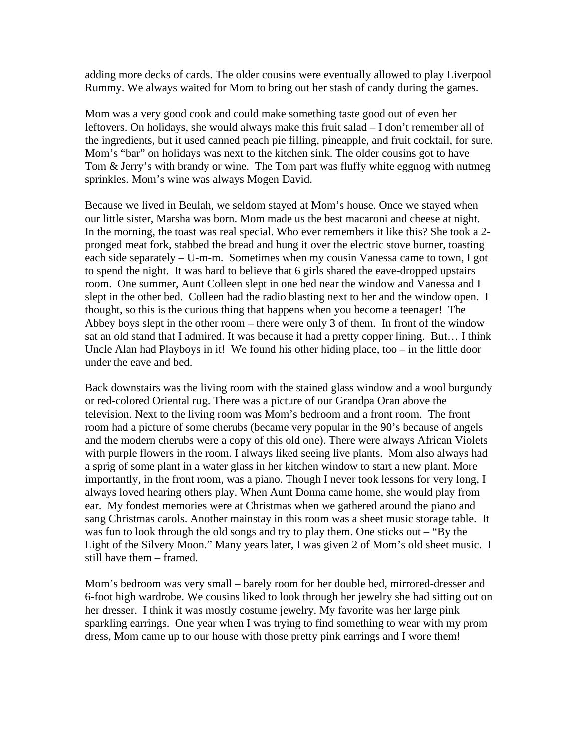adding more decks of cards. The older cousins were eventually allowed to play Liverpool Rummy. We always waited for Mom to bring out her stash of candy during the games.

Mom was a very good cook and could make something taste good out of even her leftovers. On holidays, she would always make this fruit salad – I don't remember all of the ingredients, but it used canned peach pie filling, pineapple, and fruit cocktail, for sure. Mom's "bar" on holidays was next to the kitchen sink. The older cousins got to have Tom & Jerry's with brandy or wine. The Tom part was fluffy white eggnog with nutmeg sprinkles. Mom's wine was always Mogen David.

Because we lived in Beulah, we seldom stayed at Mom's house. Once we stayed when our little sister, Marsha was born. Mom made us the best macaroni and cheese at night. In the morning, the toast was real special. Who ever remembers it like this? She took a 2 pronged meat fork, stabbed the bread and hung it over the electric stove burner, toasting each side separately – U-m-m. Sometimes when my cousin Vanessa came to town, I got to spend the night. It was hard to believe that 6 girls shared the eave-dropped upstairs room. One summer, Aunt Colleen slept in one bed near the window and Vanessa and I slept in the other bed. Colleen had the radio blasting next to her and the window open. I thought, so this is the curious thing that happens when you become a teenager! The Abbey boys slept in the other room – there were only 3 of them. In front of the window sat an old stand that I admired. It was because it had a pretty copper lining. But… I think Uncle Alan had Playboys in it! We found his other hiding place, too – in the little door under the eave and bed.

Back downstairs was the living room with the stained glass window and a wool burgundy or red-colored Oriental rug. There was a picture of our Grandpa Oran above the television. Next to the living room was Mom's bedroom and a front room. The front room had a picture of some cherubs (became very popular in the 90's because of angels and the modern cherubs were a copy of this old one). There were always African Violets with purple flowers in the room. I always liked seeing live plants. Mom also always had a sprig of some plant in a water glass in her kitchen window to start a new plant. More importantly, in the front room, was a piano. Though I never took lessons for very long, I always loved hearing others play. When Aunt Donna came home, she would play from ear. My fondest memories were at Christmas when we gathered around the piano and sang Christmas carols. Another mainstay in this room was a sheet music storage table. It was fun to look through the old songs and try to play them. One sticks out – "By the Light of the Silvery Moon." Many years later, I was given 2 of Mom's old sheet music. I still have them – framed.

Mom's bedroom was very small – barely room for her double bed, mirrored-dresser and 6-foot high wardrobe. We cousins liked to look through her jewelry she had sitting out on her dresser. I think it was mostly costume jewelry. My favorite was her large pink sparkling earrings. One year when I was trying to find something to wear with my prom dress, Mom came up to our house with those pretty pink earrings and I wore them!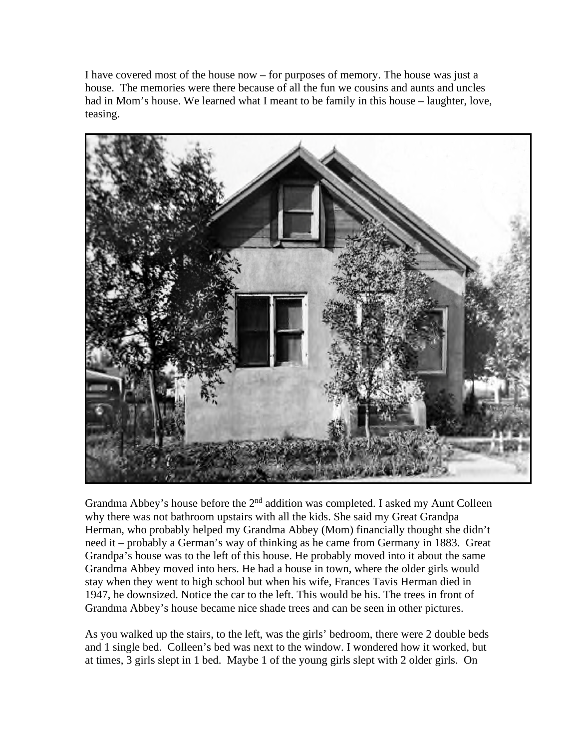I have covered most of the house now – for purposes of memory. The house was just a house. The memories were there because of all the fun we cousins and aunts and uncles had in Mom's house. We learned what I meant to be family in this house – laughter, love, teasing.



Grandma Abbey's house before the  $2<sup>nd</sup>$  addition was completed. I asked my Aunt Colleen why there was not bathroom upstairs with all the kids. She said my Great Grandpa Herman, who probably helped my Grandma Abbey (Mom) financially thought she didn't need it – probably a German's way of thinking as he came from Germany in 1883. Great Grandpa's house was to the left of this house. He probably moved into it about the same Grandma Abbey moved into hers. He had a house in town, where the older girls would stay when they went to high school but when his wife, Frances Tavis Herman died in 1947, he downsized. Notice the car to the left. This would be his. The trees in front of Grandma Abbey's house became nice shade trees and can be seen in other pictures.

As you walked up the stairs, to the left, was the girls' bedroom, there were 2 double beds and 1 single bed. Colleen's bed was next to the window. I wondered how it worked, but at times, 3 girls slept in 1 bed. Maybe 1 of the young girls slept with 2 older girls. On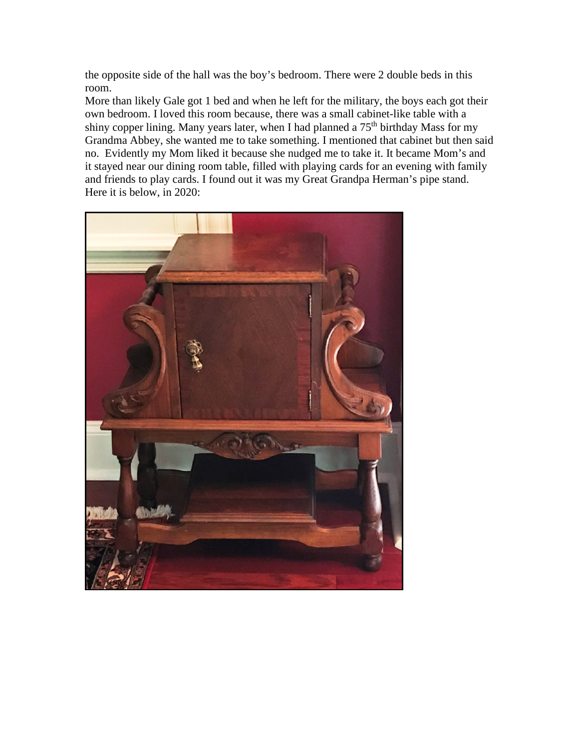the opposite side of the hall was the boy's bedroom. There were 2 double beds in this room.

More than likely Gale got 1 bed and when he left for the military, the boys each got their own bedroom. I loved this room because, there was a small cabinet-like table with a shiny copper lining. Many years later, when I had planned a 75<sup>th</sup> birthday Mass for my Grandma Abbey, she wanted me to take something. I mentioned that cabinet but then said no. Evidently my Mom liked it because she nudged me to take it. It became Mom's and it stayed near our dining room table, filled with playing cards for an evening with family and friends to play cards. I found out it was my Great Grandpa Herman's pipe stand. Here it is below, in 2020:

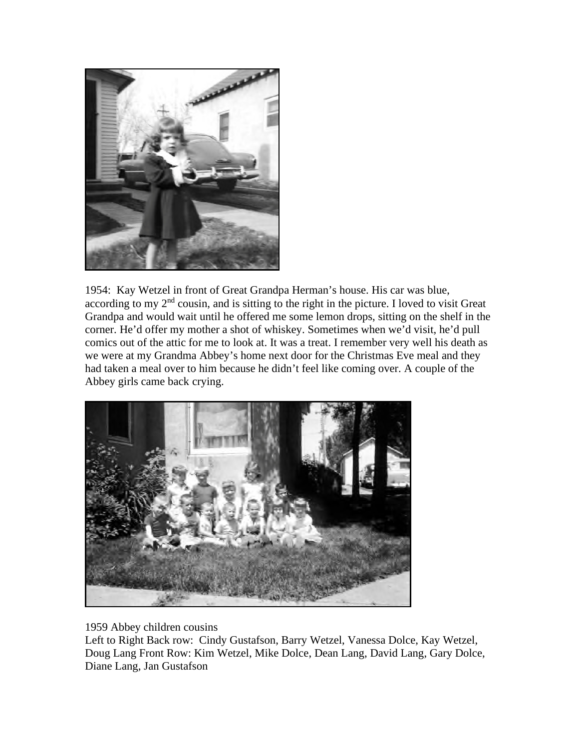

1954: Kay Wetzel in front of Great Grandpa Herman's house. His car was blue, according to my  $2<sup>nd</sup>$  cousin, and is sitting to the right in the picture. I loved to visit Great Grandpa and would wait until he offered me some lemon drops, sitting on the shelf in the corner. He'd offer my mother a shot of whiskey. Sometimes when we'd visit, he'd pull comics out of the attic for me to look at. It was a treat. I remember very well his death as we were at my Grandma Abbey's home next door for the Christmas Eve meal and they had taken a meal over to him because he didn't feel like coming over. A couple of the Abbey girls came back crying.



1959 Abbey children cousins

Left to Right Back row: Cindy Gustafson, Barry Wetzel, Vanessa Dolce, Kay Wetzel, Doug Lang Front Row: Kim Wetzel, Mike Dolce, Dean Lang, David Lang, Gary Dolce, Diane Lang, Jan Gustafson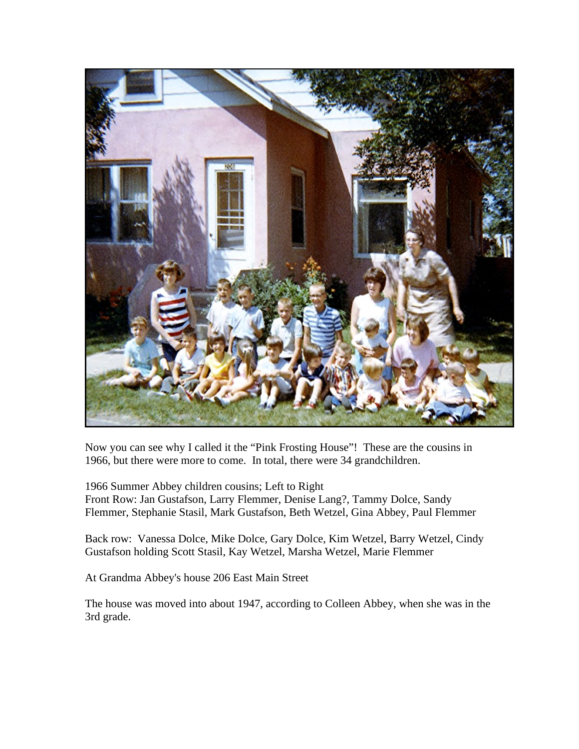

Now you can see why I called it the "Pink Frosting House"! These are the cousins in 1966, but there were more to come. In total, there were 34 grandchildren.

1966 Summer Abbey children cousins; Left to Right Front Row: Jan Gustafson, Larry Flemmer, Denise Lang?, Tammy Dolce, Sandy Flemmer, Stephanie Stasil, Mark Gustafson, Beth Wetzel, Gina Abbey, Paul Flemmer

Back row: Vanessa Dolce, Mike Dolce, Gary Dolce, Kim Wetzel, Barry Wetzel, Cindy Gustafson holding Scott Stasil, Kay Wetzel, Marsha Wetzel, Marie Flemmer

At Grandma Abbey's house 206 East Main Street

The house was moved into about 1947, according to Colleen Abbey, when she was in the 3rd grade.